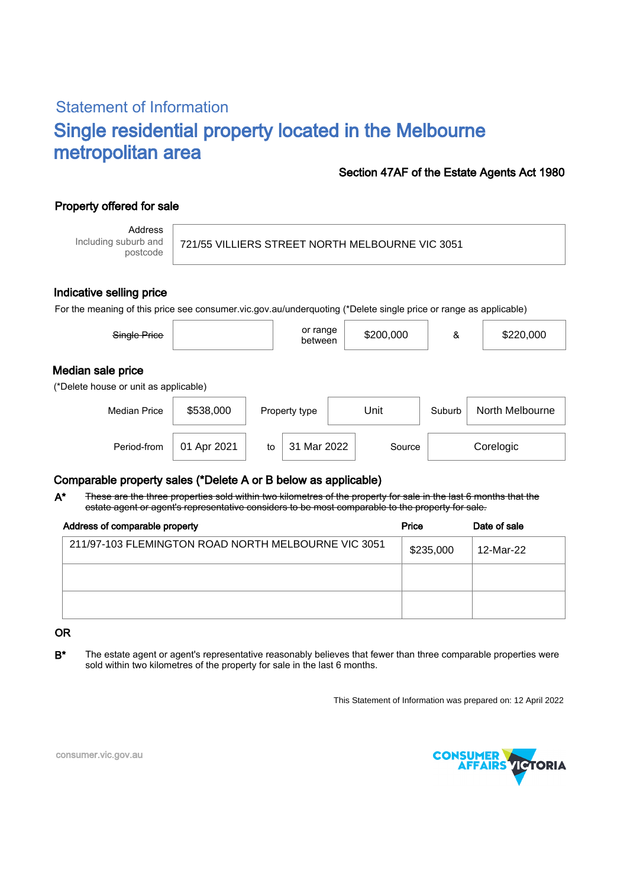# Statement of Information Single residential property located in the Melbourne metropolitan area

### Section 47AF of the Estate Agents Act 1980

## Property offered for sale

Address Including suburb and postcode

721/55 VILLIERS STREET NORTH MELBOURNE VIC 3051

#### Indicative selling price

For the meaning of this price see consumer.vic.gov.au/underquoting (\*Delete single price or range as applicable)

| Single Price                                               |             |    | or range<br>between |  | \$200,000 | &      | \$220,000       |
|------------------------------------------------------------|-------------|----|---------------------|--|-----------|--------|-----------------|
| Median sale price<br>(*Delete house or unit as applicable) |             |    |                     |  |           |        |                 |
| <b>Median Price</b>                                        | \$538,000   |    | Property type       |  | Unit      | Suburb | North Melbourne |
| Period-from                                                | 01 Apr 2021 | to | 31 Mar 2022         |  | Source    |        | Corelogic       |

### Comparable property sales (\*Delete A or B below as applicable)

These are the three properties sold within two kilometres of the property for sale in the last 6 months that the estate agent or agent's representative considers to be most comparable to the property for sale. A\*

| Address of comparable property                      | Price     | Date of sale |  |
|-----------------------------------------------------|-----------|--------------|--|
| 211/97-103 FLEMINGTON ROAD NORTH MELBOURNE VIC 3051 | \$235,000 | 12-Mar-22    |  |
|                                                     |           |              |  |
|                                                     |           |              |  |

#### OR

B<sup>\*</sup> The estate agent or agent's representative reasonably believes that fewer than three comparable properties were sold within two kilometres of the property for sale in the last 6 months.

This Statement of Information was prepared on: 12 April 2022



consumer.vic.gov.au